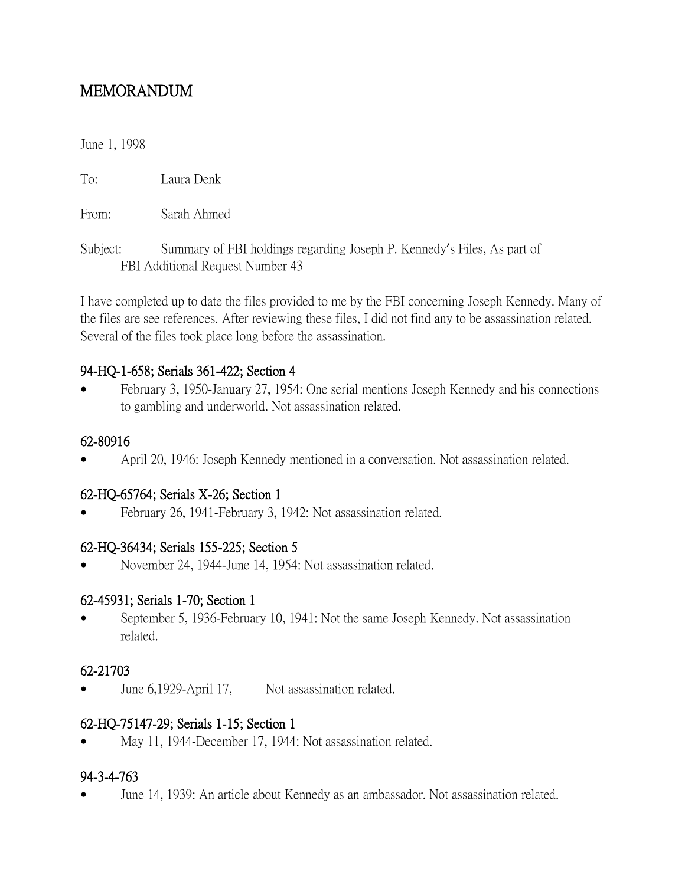# MEMORANDUM

June 1, 1998

To: Laura Denk

From: Sarah Ahmed

Subject: Summary of FBI holdings regarding Joseph P. Kennedy's Files, As part of FBI Additional Request Number 43

I have completed up to date the files provided to me by the FBI concerning Joseph Kennedy. Many of the files are see references. After reviewing these files, I did not find any to be assassination related. Several of the files took place long before the assassination.

### 94-HQ-1-658; Serials 361-422; Section 4

 February 3, 1950-January 27, 1954: One serial mentions Joseph Kennedy and his connections to gambling and underworld. Not assassination related.

#### 62-80916

April 20, 1946: Joseph Kennedy mentioned in a conversation. Not assassination related.

### 62-HQ-65764; Serials X-26; Section 1

February 26, 1941-February 3, 1942: Not assassination related.

#### 62-HQ-36434; Serials 155-225; Section 5

November 24, 1944-June 14, 1954: Not assassination related.

#### 62-45931; Serials 1-70; Section 1

 September 5, 1936-February 10, 1941: Not the same Joseph Kennedy. Not assassination related.

### 62-21703

June 6,1929-April 17, Not assassination related.

### 62-HQ-75147-29; Serials 1-15; Section 1

May 11, 1944-December 17, 1944: Not assassination related.

#### 94-3-4-763

June 14, 1939: An article about Kennedy as an ambassador. Not assassination related.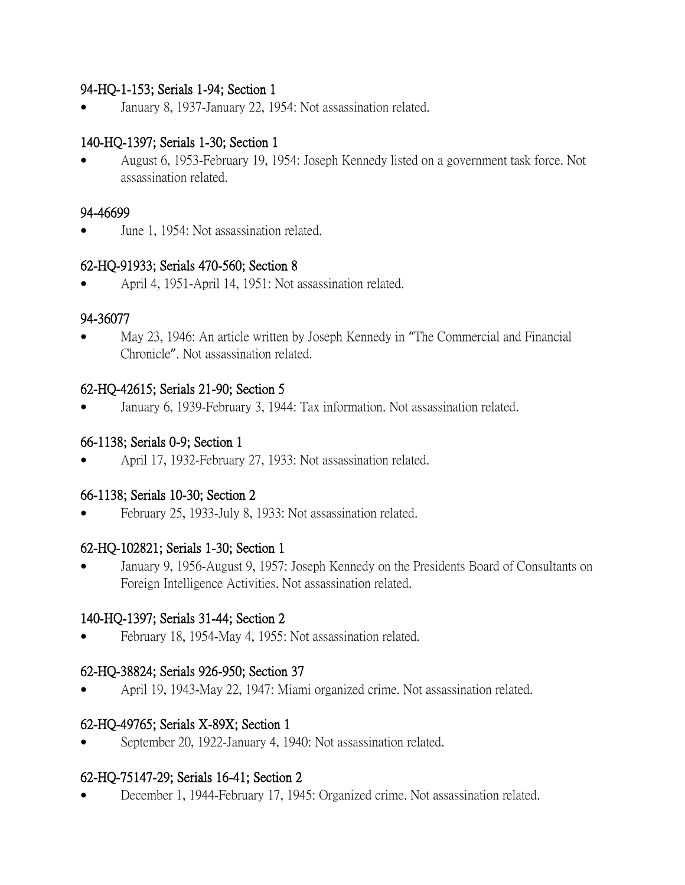### 94-HQ-1-153; Serials 1-94; Section 1

January 8, 1937-January 22, 1954: Not assassination related.

# 140-HQ-1397; Serials 1-30; Section 1

 August 6, 1953-February 19, 1954: Joseph Kennedy listed on a government task force. Not assassination related.

#### 94-46699

June 1, 1954: Not assassination related.

### 62-HQ-91933; Serials 470-560; Section 8

April 4, 1951-April 14, 1951: Not assassination related.

### 94-36077

 May 23, 1946: An article written by Joseph Kennedy in "The Commercial and Financial Chronicle". Not assassination related.

### 62-HQ-42615; Serials 21-90; Section 5

January 6, 1939-February 3, 1944: Tax information. Not assassination related.

## 66-1138; Serials 0-9; Section 1

April 17, 1932-February 27, 1933: Not assassination related.

### 66-1138; Serials 10-30; Section 2

February 25, 1933-July 8, 1933: Not assassination related.

### 62-HQ-102821; Serials 1-30; Section 1

 January 9, 1956-August 9, 1957: Joseph Kennedy on the Presidents Board of Consultants on Foreign Intelligence Activities. Not assassination related.

### 140-HQ-1397; Serials 31-44; Section 2

February 18, 1954-May 4, 1955: Not assassination related.

## 62-HQ-38824; Serials 926-950; Section 37

April 19, 1943-May 22, 1947: Miami organized crime. Not assassination related.

## 62-HQ-49765; Serials X-89X; Section 1

September 20, 1922-January 4, 1940: Not assassination related.

### 62-HQ-75147-29; Serials 16-41; Section 2

December 1, 1944-February 17, 1945: Organized crime. Not assassination related.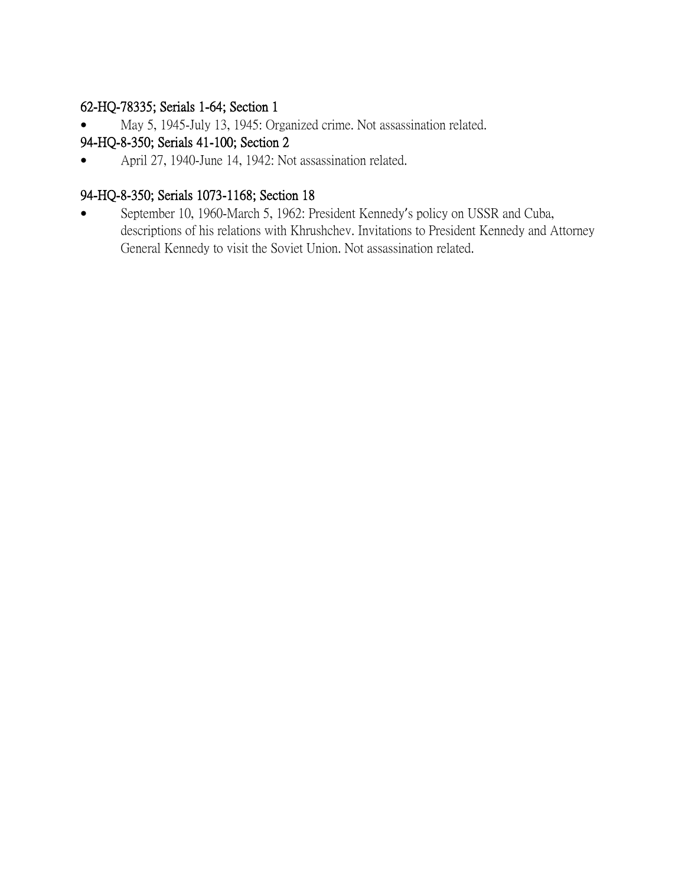## 62-HQ-78335; Serials 1-64; Section 1

May 5, 1945-July 13, 1945: Organized crime. Not assassination related.

# 94-HQ-8-350; Serials 41-100; Section 2

April 27, 1940-June 14, 1942: Not assassination related.

# 94-HQ-8-350; Serials 1073-1168; Section 18

 September 10, 1960-March 5, 1962: President Kennedy's policy on USSR and Cuba, descriptions of his relations with Khrushchev. Invitations to President Kennedy and Attorney General Kennedy to visit the Soviet Union. Not assassination related.